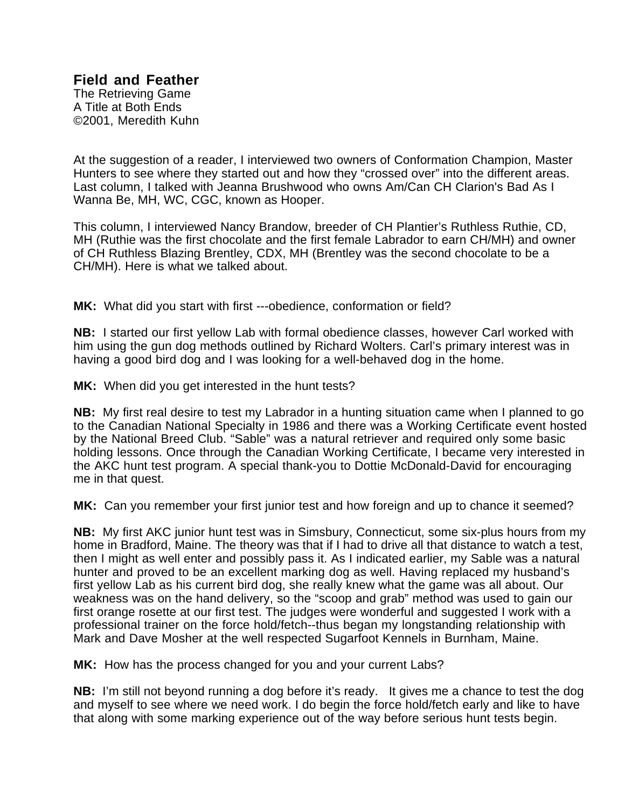## **Field and Feather**

The Retrieving Game A Title at Both Ends ©2001, Meredith Kuhn

At the suggestion of a reader, I interviewed two owners of Conformation Champion, Master Hunters to see where they started out and how they "crossed over" into the different areas. Last column, I talked with Jeanna Brushwood who owns Am/Can CH Clarion's Bad As I Wanna Be, MH, WC, CGC, known as Hooper.

This column, I interviewed Nancy Brandow, breeder of CH Plantier's Ruthless Ruthie, CD, MH (Ruthie was the first chocolate and the first female Labrador to earn CH/MH) and owner of CH Ruthless Blazing Brentley, CDX, MH (Brentley was the second chocolate to be a CH/MH). Here is what we talked about.

**MK:** What did you start with first ---obedience, conformation or field?

**NB:** I started our first yellow Lab with formal obedience classes, however Carl worked with him using the gun dog methods outlined by Richard Wolters. Carl's primary interest was in having a good bird dog and I was looking for a well-behaved dog in the home.

**MK:** When did you get interested in the hunt tests?

**NB:** My first real desire to test my Labrador in a hunting situation came when I planned to go to the Canadian National Specialty in 1986 and there was a Working Certificate event hosted by the National Breed Club. "Sable" was a natural retriever and required only some basic holding lessons. Once through the Canadian Working Certificate, I became very interested in the AKC hunt test program. A special thank-you to Dottie McDonald-David for encouraging me in that quest.

**MK:** Can you remember your first junior test and how foreign and up to chance it seemed?

**NB:** My first AKC junior hunt test was in Simsbury, Connecticut, some six-plus hours from my home in Bradford, Maine. The theory was that if I had to drive all that distance to watch a test, then I might as well enter and possibly pass it. As I indicated earlier, my Sable was a natural hunter and proved to be an excellent marking dog as well. Having replaced my husband's first yellow Lab as his current bird dog, she really knew what the game was all about. Our weakness was on the hand delivery, so the "scoop and grab" method was used to gain our first orange rosette at our first test. The judges were wonderful and suggested I work with a professional trainer on the force hold/fetch--thus began my longstanding relationship with Mark and Dave Mosher at the well respected Sugarfoot Kennels in Burnham, Maine.

**MK:** How has the process changed for you and your current Labs?

**NB:** I'm still not beyond running a dog before it's ready. It gives me a chance to test the dog and myself to see where we need work. I do begin the force hold/fetch early and like to have that along with some marking experience out of the way before serious hunt tests begin.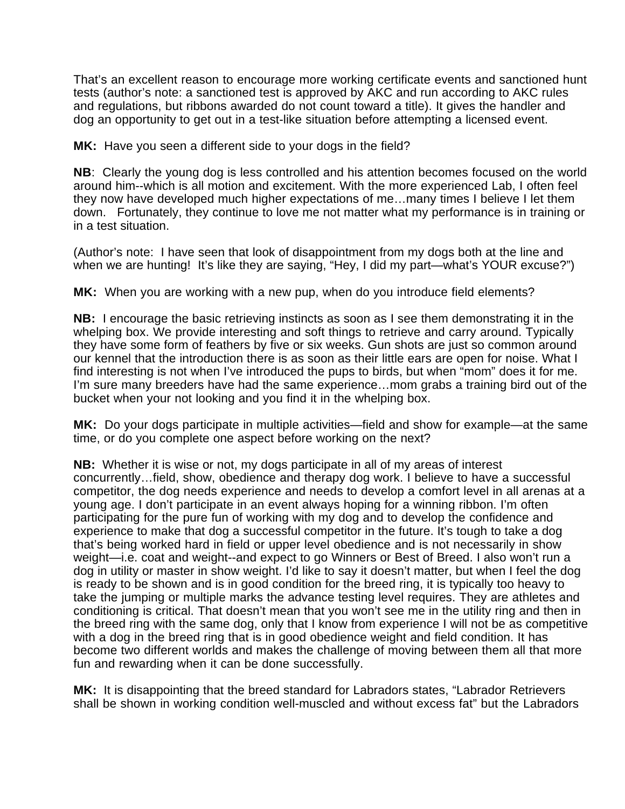That's an excellent reason to encourage more working certificate events and sanctioned hunt tests (author's note: a sanctioned test is approved by AKC and run according to AKC rules and regulations, but ribbons awarded do not count toward a title). It gives the handler and dog an opportunity to get out in a test-like situation before attempting a licensed event.

**MK:** Have you seen a different side to your dogs in the field?

**NB**: Clearly the young dog is less controlled and his attention becomes focused on the world around him--which is all motion and excitement. With the more experienced Lab, I often feel they now have developed much higher expectations of me…many times I believe I let them down. Fortunately, they continue to love me not matter what my performance is in training or in a test situation.

(Author's note: I have seen that look of disappointment from my dogs both at the line and when we are hunting! It's like they are saying, "Hey, I did my part—what's YOUR excuse?")

**MK:** When you are working with a new pup, when do you introduce field elements?

**NB:** I encourage the basic retrieving instincts as soon as I see them demonstrating it in the whelping box. We provide interesting and soft things to retrieve and carry around. Typically they have some form of feathers by five or six weeks. Gun shots are just so common around our kennel that the introduction there is as soon as their little ears are open for noise. What I find interesting is not when I've introduced the pups to birds, but when "mom" does it for me. I'm sure many breeders have had the same experience...mom grabs a training bird out of the bucket when your not looking and you find it in the whelping box.

**MK:** Do your dogs participate in multiple activities—field and show for example—at the same time, or do you complete one aspect before working on the next?

**NB:** Whether it is wise or not, my dogs participate in all of my areas of interest concurrently…field, show, obedience and therapy dog work. I believe to have a successful competitor, the dog needs experience and needs to develop a comfort level in all arenas at a young age. I don't participate in an event always hoping for a winning ribbon. I'm often participating for the pure fun of working with my dog and to develop the confidence and experience to make that dog a successful competitor in the future. It's tough to take a dog that's being worked hard in field or upper level obedience and is not necessarily in show weight—i.e. coat and weight--and expect to go Winners or Best of Breed. I also won't run a dog in utility or master in show weight. I'd like to say it doesn't matter, but when I feel the dog is ready to be shown and is in good condition for the breed ring, it is typically too heavy to take the jumping or multiple marks the advance testing level requires. They are athletes and conditioning is critical. That doesn't mean that you won't see me in the utility ring and then in the breed ring with the same dog, only that I know from experience I will not be as competitive with a dog in the breed ring that is in good obedience weight and field condition. It has become two different worlds and makes the challenge of moving between them all that more fun and rewarding when it can be done successfully.

**MK:** It is disappointing that the breed standard for Labradors states, "Labrador Retrievers shall be shown in working condition well-muscled and without excess fat" but the Labradors